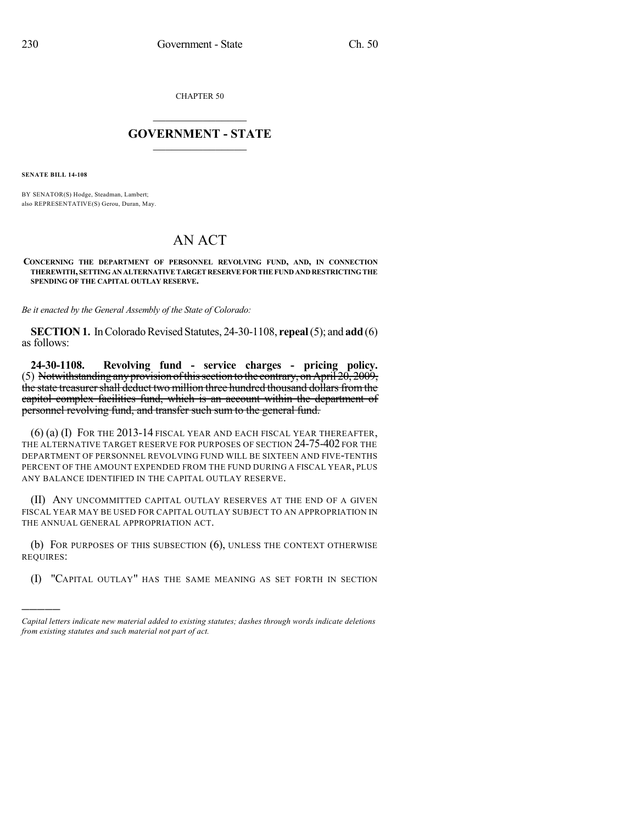CHAPTER 50

## $\mathcal{L}_\text{max}$  . The set of the set of the set of the set of the set of the set of the set of the set of the set of the set of the set of the set of the set of the set of the set of the set of the set of the set of the set **GOVERNMENT - STATE**  $\_$   $\_$

**SENATE BILL 14-108**

)))))

BY SENATOR(S) Hodge, Steadman, Lambert; also REPRESENTATIVE(S) Gerou, Duran, May.

## AN ACT

**CONCERNING THE DEPARTMENT OF PERSONNEL REVOLVING FUND, AND, IN CONNECTION THEREWITH, SETTINGANALTERNATIVETARGETRESERVEFORTHEFUND AND RESTRICTINGTHE SPENDING OF THE CAPITAL OUTLAY RESERVE.**

*Be it enacted by the General Assembly of the State of Colorado:*

**SECTION 1.** In Colorado Revised Statutes, 24-30-1108, **repeal** (5); and **add** (6) as follows:

**24-30-1108. Revolving fund - service charges - pricing policy.** (5) Notwithstanding any provision of this section to the contrary, on April  $20, 2009$ , the state treasurer shall deduct two million three hundred thousand dollars from the capitol complex facilities fund, which is an account within the department of personnel revolving fund, and transfer such sum to the general fund.

(6) (a) (I) FOR THE 2013-14 FISCAL YEAR AND EACH FISCAL YEAR THEREAFTER, THE ALTERNATIVE TARGET RESERVE FOR PURPOSES OF SECTION 24-75-402 FOR THE DEPARTMENT OF PERSONNEL REVOLVING FUND WILL BE SIXTEEN AND FIVE-TENTHS PERCENT OF THE AMOUNT EXPENDED FROM THE FUND DURING A FISCAL YEAR, PLUS ANY BALANCE IDENTIFIED IN THE CAPITAL OUTLAY RESERVE.

(II) ANY UNCOMMITTED CAPITAL OUTLAY RESERVES AT THE END OF A GIVEN FISCAL YEAR MAY BE USED FOR CAPITAL OUTLAY SUBJECT TO AN APPROPRIATION IN THE ANNUAL GENERAL APPROPRIATION ACT.

(b) FOR PURPOSES OF THIS SUBSECTION (6), UNLESS THE CONTEXT OTHERWISE REQUIRES:

(I) "CAPITAL OUTLAY" HAS THE SAME MEANING AS SET FORTH IN SECTION

*Capital letters indicate new material added to existing statutes; dashes through words indicate deletions from existing statutes and such material not part of act.*